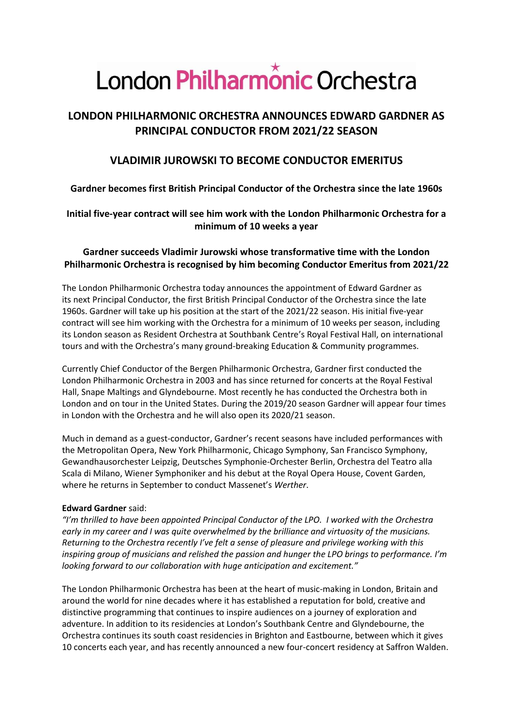# London Philharmônic Orchestra

# **LONDON PHILHARMONIC ORCHESTRA ANNOUNCES EDWARD GARDNER AS PRINCIPAL CONDUCTOR FROM 2021/22 SEASON**

## **VLADIMIR JUROWSKI TO BECOME CONDUCTOR EMERITUS**

## **Gardner becomes first British Principal Conductor of the Orchestra since the late 1960s**

## **Initial five-year contract will see him work with the London Philharmonic Orchestra for a minimum of 10 weeks a year**

## **Gardner succeeds Vladimir Jurowski whose transformative time with the London Philharmonic Orchestra is recognised by him becoming Conductor Emeritus from 2021/22**

The London Philharmonic Orchestra today announces the appointment of Edward Gardner as its next Principal Conductor, the first British Principal Conductor of the Orchestra since the late 1960s. Gardner will take up his position at the start of the 2021/22 season. His initial five-year contract will see him working with the Orchestra for a minimum of 10 weeks per season, including its London season as Resident Orchestra at Southbank Centre's Royal Festival Hall, on international tours and with the Orchestra's many ground-breaking Education & Community programmes.

Currently Chief Conductor of the Bergen Philharmonic Orchestra, Gardner first conducted the London Philharmonic Orchestra in 2003 and has since returned for concerts at the Royal Festival Hall, Snape Maltings and Glyndebourne. Most recently he has conducted the Orchestra both in London and on tour in the United States. During the 2019/20 season Gardner will appear four times in London with the Orchestra and he will also open its 2020/21 season.

Much in demand as a guest-conductor, Gardner's recent seasons have included performances with the Metropolitan Opera, New York Philharmonic, Chicago Symphony, San Francisco Symphony, Gewandhausorchester Leipzig, Deutsches Symphonie-Orchester Berlin, Orchestra del Teatro alla Scala di Milano, Wiener Symphoniker and his debut at the Royal Opera House, Covent Garden, where he returns in September to conduct Massenet's *Werther*.

### **Edward Gardner** said:

*"I'm thrilled to have been appointed Principal Conductor of the LPO. I worked with the Orchestra early in my career and I was quite overwhelmed by the brilliance and virtuosity of the musicians. Returning to the Orchestra recently I've felt a sense of pleasure and privilege working with this inspiring group of musicians and relished the passion and hunger the LPO brings to performance. I'm looking forward to our collaboration with huge anticipation and excitement."*

The London Philharmonic Orchestra has been at the heart of music-making in London, Britain and around the world for nine decades where it has established a reputation for bold, creative and distinctive programming that continues to inspire audiences on a journey of exploration and adventure. In addition to its residencies at London's Southbank Centre and Glyndebourne, the Orchestra continues its south coast residencies in Brighton and Eastbourne, between which it gives 10 concerts each year, and has recently announced a new four-concert residency at Saffron Walden.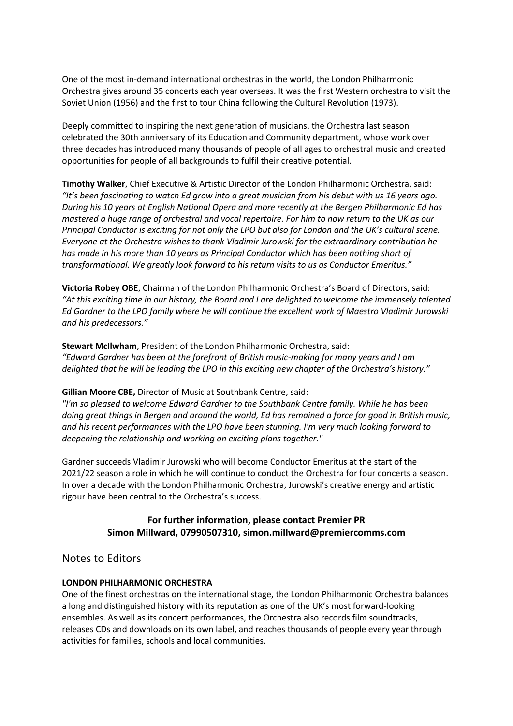One of the most in-demand international orchestras in the world, the London Philharmonic Orchestra gives around 35 concerts each year overseas. It was the first Western orchestra to visit the Soviet Union (1956) and the first to tour China following the Cultural Revolution (1973).

Deeply committed to inspiring the next generation of musicians, the Orchestra last season celebrated the 30th anniversary of its Education and Community department, whose work over three decades has introduced many thousands of people of all ages to orchestral music and created opportunities for people of all backgrounds to fulfil their creative potential.

**Timothy Walker**, Chief Executive & Artistic Director of the London Philharmonic Orchestra, said: *"It's been fascinating to watch Ed grow into a great musician from his debut with us 16 years ago. During his 10 years at English National Opera and more recently at the Bergen Philharmonic Ed has mastered a huge range of orchestral and vocal repertoire. For him to now return to the UK as our Principal Conductor is exciting for not only the LPO but also for London and the UK's cultural scene. Everyone at the Orchestra wishes to thank Vladimir Jurowski for the extraordinary contribution he has made in his more than 10 years as Principal Conductor which has been nothing short of transformational. We greatly look forward to his return visits to us as Conductor Emeritus."*

**Victoria Robey OBE**, Chairman of the London Philharmonic Orchestra's Board of Directors, said: *"At this exciting time in our history, the Board and I are delighted to welcome the immensely talented Ed Gardner to the LPO family where he will continue the excellent work of Maestro Vladimir Jurowski and his predecessors."*

**Stewart McIlwham**, President of the London Philharmonic Orchestra, said: *"Edward Gardner has been at the forefront of British music-making for many years and I am delighted that he will be leading the LPO in this exciting new chapter of the Orchestra's history."*

**Gillian Moore CBE,** Director of Music at Southbank Centre, said:

*"I'm so pleased to welcome Edward Gardner to the Southbank Centre family. While he has been doing great things in Bergen and around the world, Ed has remained a force for good in British music, and his recent performances with the LPO have been stunning. I'm very much looking forward to deepening the relationship and working on exciting plans together."* 

Gardner succeeds Vladimir Jurowski who will become Conductor Emeritus at the start of the 2021/22 season a role in which he will continue to conduct the Orchestra for four concerts a season. In over a decade with the London Philharmonic Orchestra, Jurowski's creative energy and artistic rigour have been central to the Orchestra's success.

### **For further information, please contact Premier PR Simon Millward, 07990507310, simon.millward@premiercomms.com**

Notes to Editors

#### **LONDON PHILHARMONIC ORCHESTRA**

One of the finest orchestras on the international stage, the London Philharmonic Orchestra balances a long and distinguished history with its reputation as one of the UK's most forward-looking ensembles. As well as its concert performances, the Orchestra also records film soundtracks, releases CDs and downloads on its own label, and reaches thousands of people every year through activities for families, schools and local communities.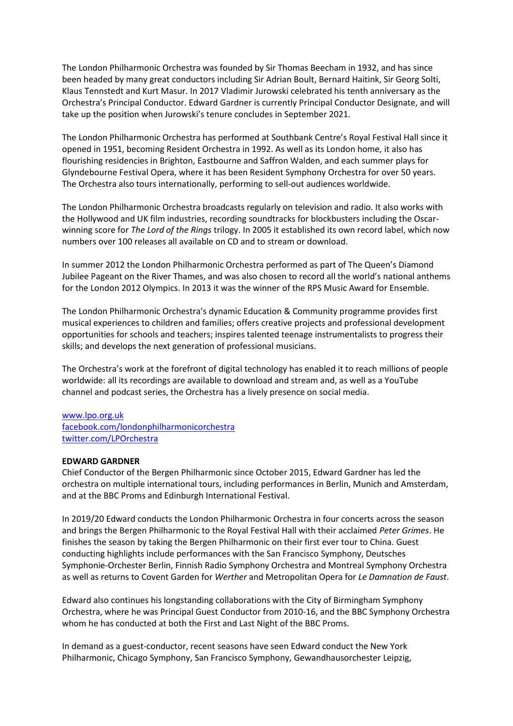The London Philharmonic Orchestra was founded by Sir Thomas Beecham in 1932, and has since been headed by many great conductors including Sir Adrian Boult, Bernard Haitink, Sir Georg Solti, Klaus Tennstedt and Kurt Masur. In 2017 Vladimir Jurowski celebrated his tenth anniversary as the Orchestra's Principal Conductor. Edward Gardner is currently Principal Conductor Designate, and will take up the position when Jurowski's tenure concludes in September 2021.

The London Philharmonic Orchestra has performed at Southbank Centre's Royal Festival Hall since it opened in 1951, becoming Resident Orchestra in 1992. As well as its London home, it also has flourishing residencies in Brighton, Eastbourne and Saffron Walden, and each summer plays for Glyndebourne Festival Opera, where it has been Resident Symphony Orchestra for over 50 years. The Orchestra also tours internationally, performing to sell-out audiences worldwide.

The London Philharmonic Orchestra broadcasts regularly on television and radio. It also works with the Hollywood and UK film industries, recording soundtracks for blockbusters including the Oscarwinning score for *The Lord of the Rings* trilogy. In 2005 it established its own record label, which now numbers over 100 releases all available on CD and to stream or download.

In summer 2012 the London Philharmonic Orchestra performed as part of The Queen's Diamond Jubilee Pageant on the River Thames, and was also chosen to record all the world's national anthems for the London 2012 Olympics. In 2013 it was the winner of the RPS Music Award for Ensemble.

The London Philharmonic Orchestra's dynamic Education & Community programme provides first musical experiences to children and families; offers creative projects and professional development opportunities for schools and teachers; inspires talented teenage instrumentalists to progress their skills; and develops the next generation of professional musicians.

The Orchestra's work at the forefront of digital technology has enabled it to reach millions of people worldwide: all its recordings are available to download and stream and, as well as a YouTube channel and podcast series, the Orchestra has a lively presence on social media.

#### [www.lpo.org.uk](http://www.lpo.org.uk/)

<facebook.com/londonphilharmonicorchestra> <twitter.com/LPOrchestra>

#### **EDWARD GARDNER**

Chief Conductor of the Bergen Philharmonic since October 2015, Edward Gardner has led the orchestra on multiple international tours, including performances in Berlin, Munich and Amsterdam, and at the BBC Proms and Edinburgh International Festival.

In 2019/20 Edward conducts the London Philharmonic Orchestra in four concerts across the season and brings the Bergen Philharmonic to the Royal Festival Hall with their acclaimed *Peter Grimes*. He finishes the season by taking the Bergen Philharmonic on their first ever tour to China. Guest conducting highlights include performances with the San Francisco Symphony, Deutsches Symphonie-Orchester Berlin, Finnish Radio Symphony Orchestra and Montreal Symphony Orchestra as well as returns to Covent Garden for *Werther* and Metropolitan Opera for *Le Damnation de Faust*.

Edward also continues his longstanding collaborations with the City of Birmingham Symphony Orchestra, where he was Principal Guest Conductor from 2010-16, and the BBC Symphony Orchestra whom he has conducted at both the First and Last Night of the BBC Proms.

In demand as a guest-conductor, recent seasons have seen Edward conduct the New York Philharmonic, Chicago Symphony, San Francisco Symphony, Gewandhausorchester Leipzig,